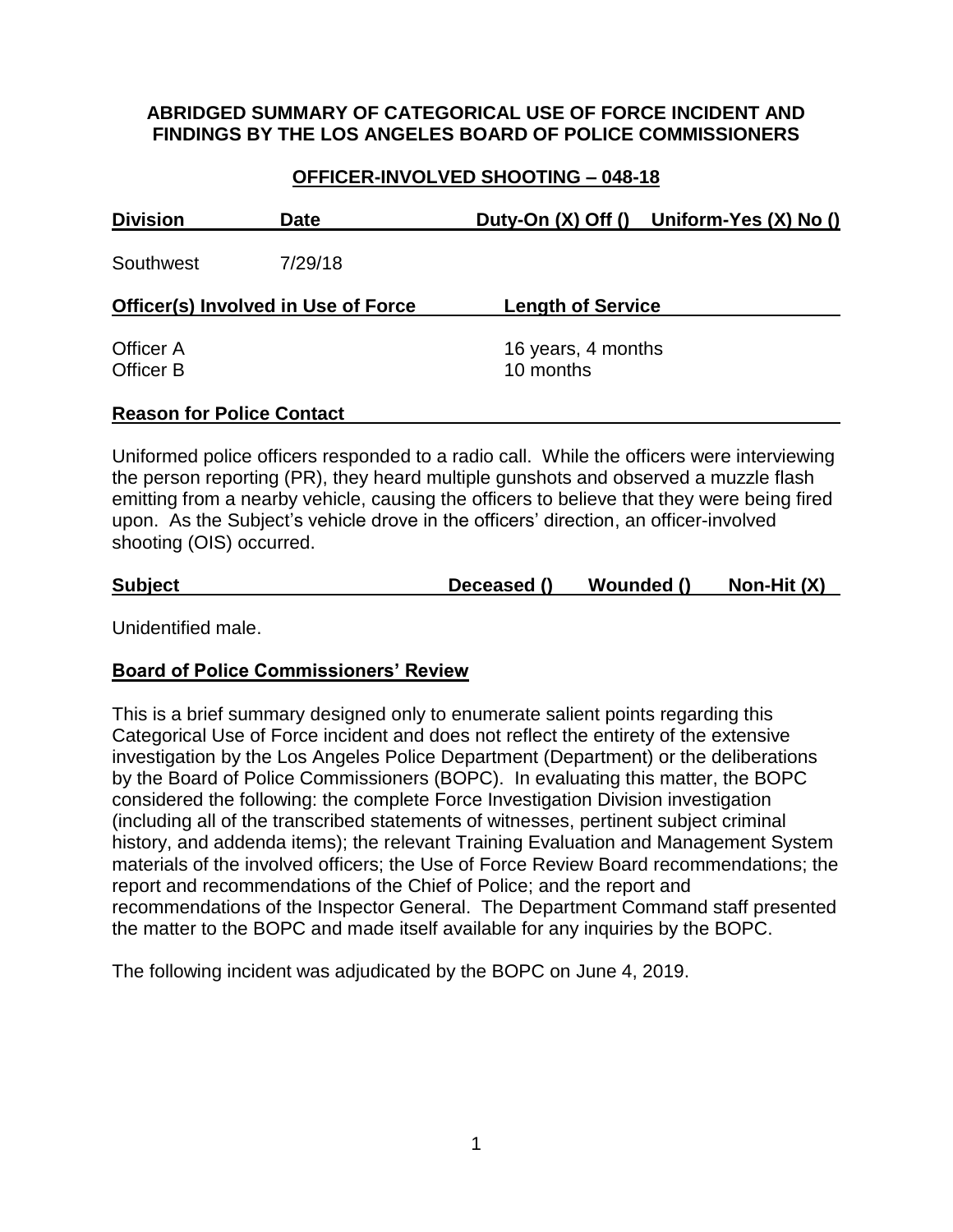# **ABRIDGED SUMMARY OF CATEGORICAL USE OF FORCE INCIDENT AND FINDINGS BY THE LOS ANGELES BOARD OF POLICE COMMISSIONERS**

# **OFFICER-INVOLVED SHOOTING – 048-18**

| <b>Division</b>                            | <b>Date</b> |                                 | Duty-On (X) Off () Uniform-Yes (X) No () |  |
|--------------------------------------------|-------------|---------------------------------|------------------------------------------|--|
| Southwest                                  | 7/29/18     |                                 |                                          |  |
| <b>Officer(s) Involved in Use of Force</b> |             | <b>Length of Service</b>        |                                          |  |
| Officer A<br>Officer B                     |             | 16 years, 4 months<br>10 months |                                          |  |
| <b>Reason for Police Contact</b>           |             |                                 |                                          |  |

Uniformed police officers responded to a radio call. While the officers were interviewing the person reporting (PR), they heard multiple gunshots and observed a muzzle flash emitting from a nearby vehicle, causing the officers to believe that they were being fired upon. As the Subject's vehicle drove in the officers' direction, an officer-involved shooting (OIS) occurred.

|  | <b>Subject</b> |  | Deceased () | Wounded () | Non-Hit $(X)$ |
|--|----------------|--|-------------|------------|---------------|
|--|----------------|--|-------------|------------|---------------|

Unidentified male.

### **Board of Police Commissioners' Review**

This is a brief summary designed only to enumerate salient points regarding this Categorical Use of Force incident and does not reflect the entirety of the extensive investigation by the Los Angeles Police Department (Department) or the deliberations by the Board of Police Commissioners (BOPC). In evaluating this matter, the BOPC considered the following: the complete Force Investigation Division investigation (including all of the transcribed statements of witnesses, pertinent subject criminal history, and addenda items); the relevant Training Evaluation and Management System materials of the involved officers; the Use of Force Review Board recommendations; the report and recommendations of the Chief of Police; and the report and recommendations of the Inspector General. The Department Command staff presented the matter to the BOPC and made itself available for any inquiries by the BOPC.

The following incident was adjudicated by the BOPC on June 4, 2019.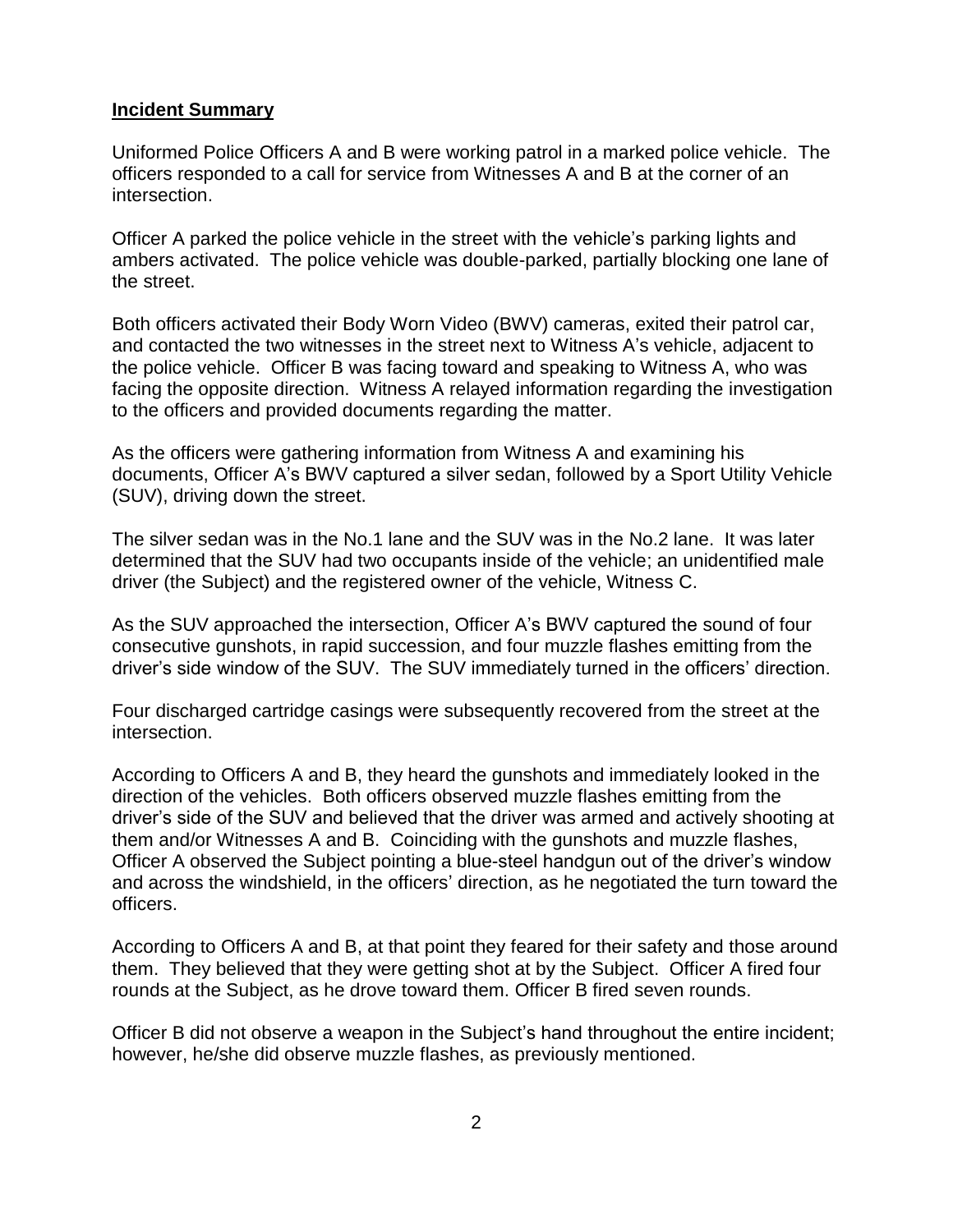#### **Incident Summary**

Uniformed Police Officers A and B were working patrol in a marked police vehicle. The officers responded to a call for service from Witnesses A and B at the corner of an intersection.

Officer A parked the police vehicle in the street with the vehicle's parking lights and ambers activated. The police vehicle was double-parked, partially blocking one lane of the street.

Both officers activated their Body Worn Video (BWV) cameras, exited their patrol car, and contacted the two witnesses in the street next to Witness A's vehicle, adjacent to the police vehicle. Officer B was facing toward and speaking to Witness A, who was facing the opposite direction. Witness A relayed information regarding the investigation to the officers and provided documents regarding the matter.

As the officers were gathering information from Witness A and examining his documents, Officer A's BWV captured a silver sedan, followed by a Sport Utility Vehicle (SUV), driving down the street.

The silver sedan was in the No.1 lane and the SUV was in the No.2 lane. It was later determined that the SUV had two occupants inside of the vehicle; an unidentified male driver (the Subject) and the registered owner of the vehicle, Witness C.

As the SUV approached the intersection, Officer A's BWV captured the sound of four consecutive gunshots, in rapid succession, and four muzzle flashes emitting from the driver's side window of the SUV. The SUV immediately turned in the officers' direction.

Four discharged cartridge casings were subsequently recovered from the street at the intersection.

According to Officers A and B, they heard the gunshots and immediately looked in the direction of the vehicles. Both officers observed muzzle flashes emitting from the driver's side of the SUV and believed that the driver was armed and actively shooting at them and/or Witnesses A and B. Coinciding with the gunshots and muzzle flashes, Officer A observed the Subject pointing a blue-steel handgun out of the driver's window and across the windshield, in the officers' direction, as he negotiated the turn toward the officers.

According to Officers A and B, at that point they feared for their safety and those around them. They believed that they were getting shot at by the Subject. Officer A fired four rounds at the Subject, as he drove toward them. Officer B fired seven rounds.

Officer B did not observe a weapon in the Subject's hand throughout the entire incident; however, he/she did observe muzzle flashes, as previously mentioned.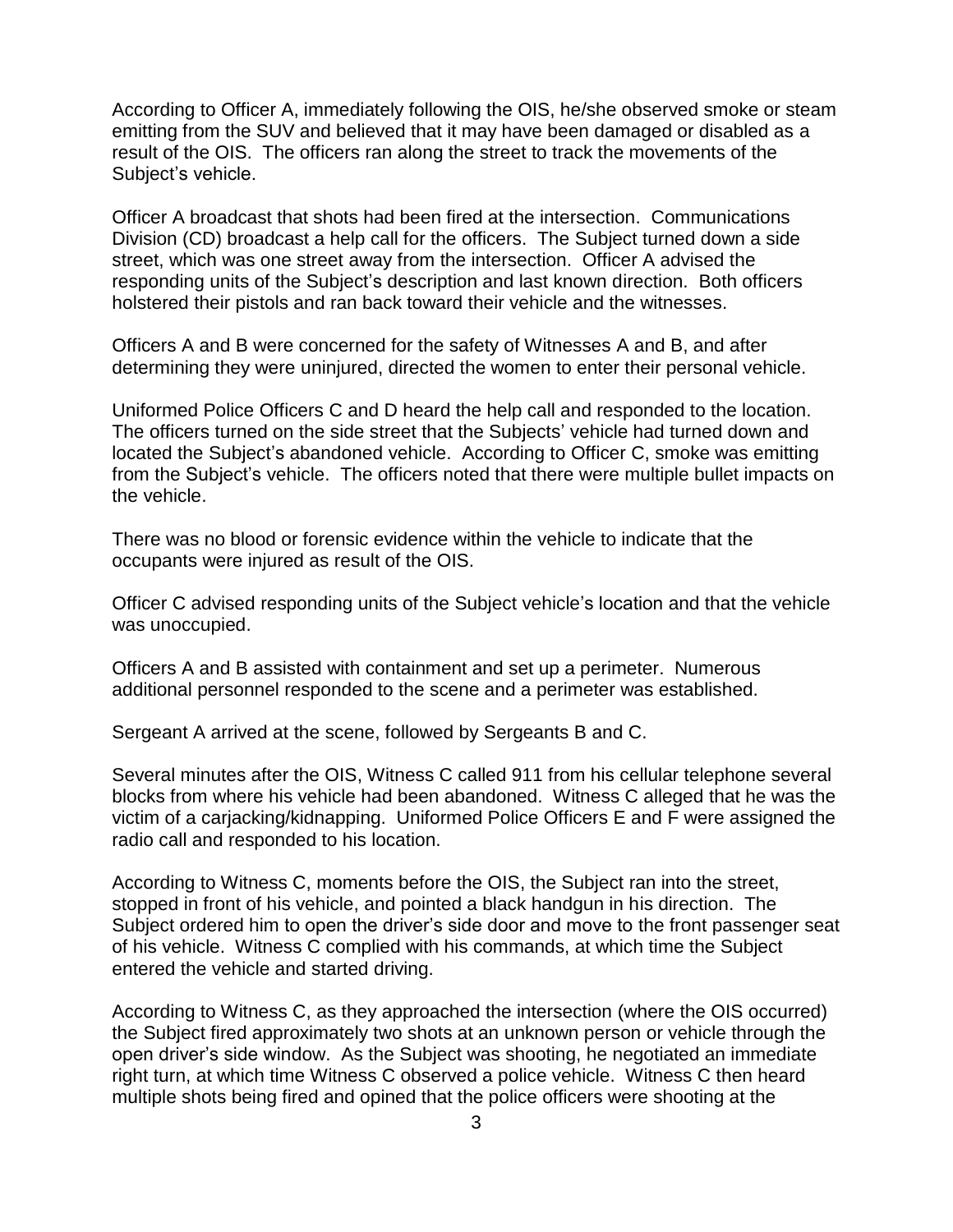According to Officer A, immediately following the OIS, he/she observed smoke or steam emitting from the SUV and believed that it may have been damaged or disabled as a result of the OIS. The officers ran along the street to track the movements of the Subject's vehicle.

Officer A broadcast that shots had been fired at the intersection. Communications Division (CD) broadcast a help call for the officers. The Subject turned down a side street, which was one street away from the intersection. Officer A advised the responding units of the Subject's description and last known direction. Both officers holstered their pistols and ran back toward their vehicle and the witnesses.

Officers A and B were concerned for the safety of Witnesses A and B, and after determining they were uninjured, directed the women to enter their personal vehicle.

Uniformed Police Officers C and D heard the help call and responded to the location. The officers turned on the side street that the Subjects' vehicle had turned down and located the Subject's abandoned vehicle. According to Officer C, smoke was emitting from the Subject's vehicle. The officers noted that there were multiple bullet impacts on the vehicle.

There was no blood or forensic evidence within the vehicle to indicate that the occupants were injured as result of the OIS.

Officer C advised responding units of the Subject vehicle's location and that the vehicle was unoccupied.

Officers A and B assisted with containment and set up a perimeter. Numerous additional personnel responded to the scene and a perimeter was established.

Sergeant A arrived at the scene, followed by Sergeants B and C.

Several minutes after the OIS, Witness C called 911 from his cellular telephone several blocks from where his vehicle had been abandoned. Witness C alleged that he was the victim of a carjacking/kidnapping. Uniformed Police Officers E and F were assigned the radio call and responded to his location.

According to Witness C, moments before the OIS, the Subject ran into the street, stopped in front of his vehicle, and pointed a black handgun in his direction. The Subject ordered him to open the driver's side door and move to the front passenger seat of his vehicle. Witness C complied with his commands, at which time the Subject entered the vehicle and started driving.

According to Witness C, as they approached the intersection (where the OIS occurred) the Subject fired approximately two shots at an unknown person or vehicle through the open driver's side window. As the Subject was shooting, he negotiated an immediate right turn, at which time Witness C observed a police vehicle. Witness C then heard multiple shots being fired and opined that the police officers were shooting at the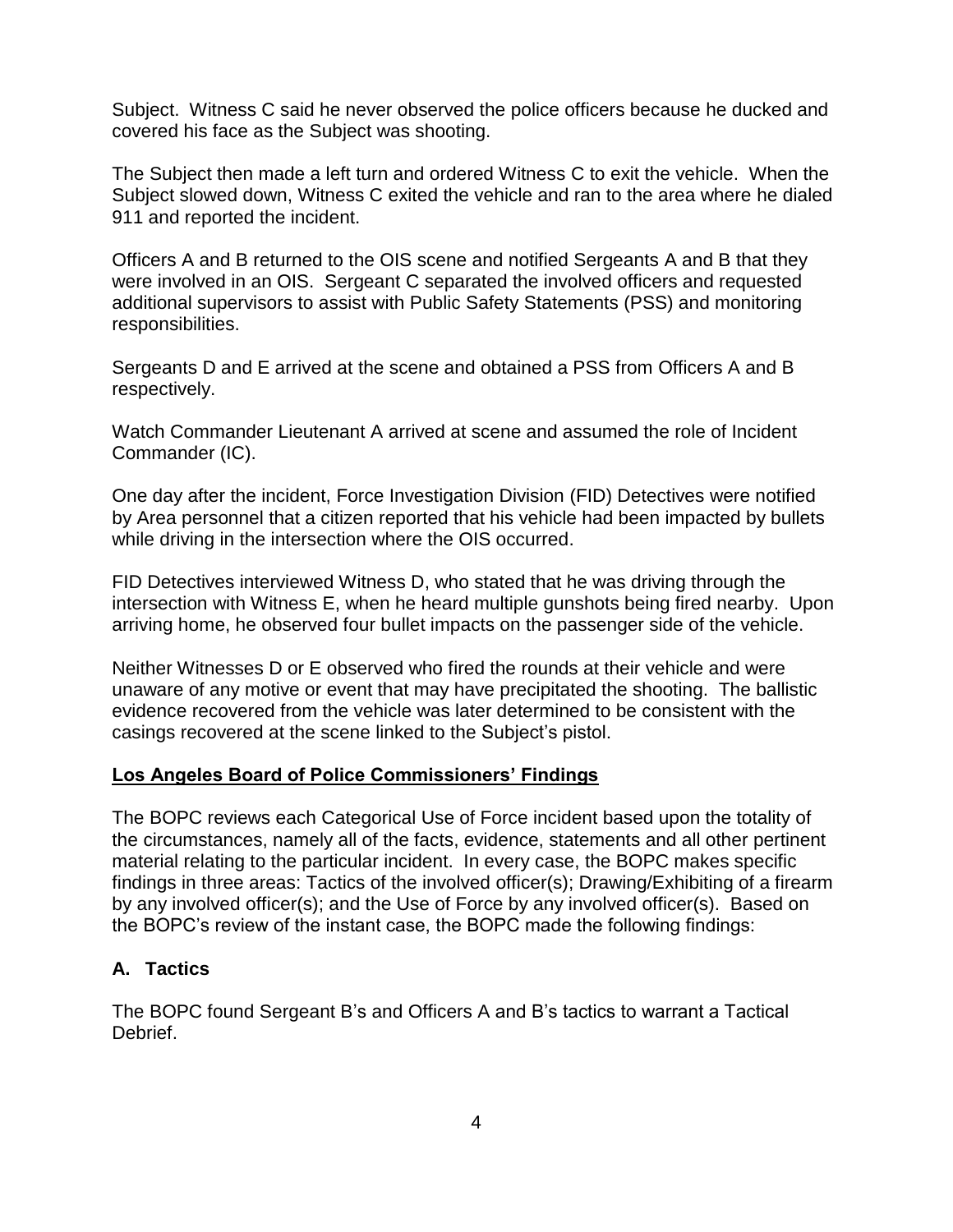Subject. Witness C said he never observed the police officers because he ducked and covered his face as the Subject was shooting.

The Subject then made a left turn and ordered Witness C to exit the vehicle. When the Subject slowed down, Witness C exited the vehicle and ran to the area where he dialed 911 and reported the incident.

Officers A and B returned to the OIS scene and notified Sergeants A and B that they were involved in an OIS. Sergeant C separated the involved officers and requested additional supervisors to assist with Public Safety Statements (PSS) and monitoring responsibilities.

Sergeants D and E arrived at the scene and obtained a PSS from Officers A and B respectively.

Watch Commander Lieutenant A arrived at scene and assumed the role of Incident Commander (IC).

One day after the incident, Force Investigation Division (FID) Detectives were notified by Area personnel that a citizen reported that his vehicle had been impacted by bullets while driving in the intersection where the OIS occurred.

FID Detectives interviewed Witness D, who stated that he was driving through the intersection with Witness E, when he heard multiple gunshots being fired nearby. Upon arriving home, he observed four bullet impacts on the passenger side of the vehicle.

Neither Witnesses D or E observed who fired the rounds at their vehicle and were unaware of any motive or event that may have precipitated the shooting. The ballistic evidence recovered from the vehicle was later determined to be consistent with the casings recovered at the scene linked to the Subject's pistol.

### **Los Angeles Board of Police Commissioners' Findings**

The BOPC reviews each Categorical Use of Force incident based upon the totality of the circumstances, namely all of the facts, evidence, statements and all other pertinent material relating to the particular incident. In every case, the BOPC makes specific findings in three areas: Tactics of the involved officer(s); Drawing/Exhibiting of a firearm by any involved officer(s); and the Use of Force by any involved officer(s). Based on the BOPC's review of the instant case, the BOPC made the following findings:

### **A. Tactics**

The BOPC found Sergeant B's and Officers A and B's tactics to warrant a Tactical Debrief.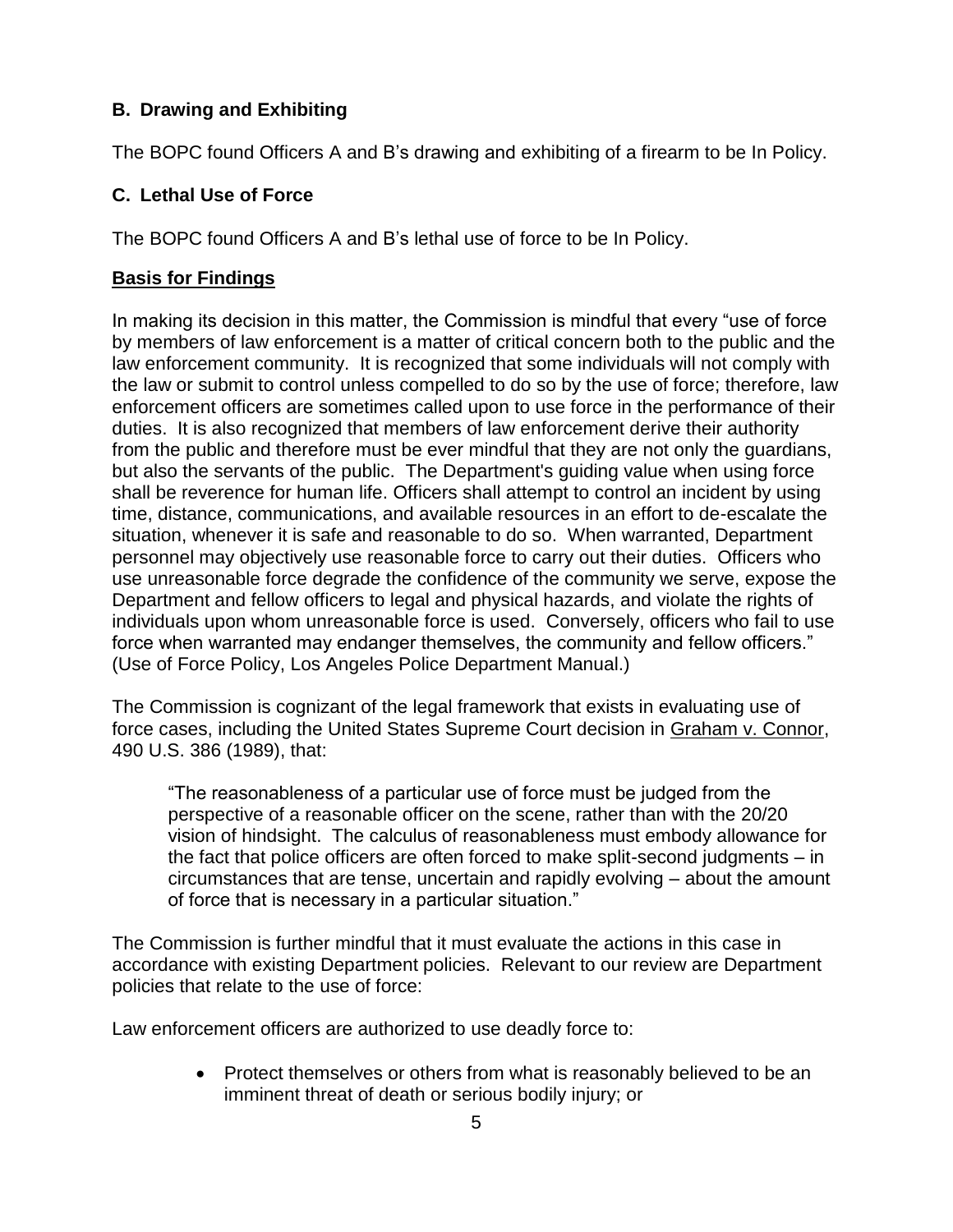# **B. Drawing and Exhibiting**

The BOPC found Officers A and B's drawing and exhibiting of a firearm to be In Policy.

## **C. Lethal Use of Force**

The BOPC found Officers A and B's lethal use of force to be In Policy.

### **Basis for Findings**

In making its decision in this matter, the Commission is mindful that every "use of force by members of law enforcement is a matter of critical concern both to the public and the law enforcement community. It is recognized that some individuals will not comply with the law or submit to control unless compelled to do so by the use of force; therefore, law enforcement officers are sometimes called upon to use force in the performance of their duties. It is also recognized that members of law enforcement derive their authority from the public and therefore must be ever mindful that they are not only the guardians, but also the servants of the public. The Department's guiding value when using force shall be reverence for human life. Officers shall attempt to control an incident by using time, distance, communications, and available resources in an effort to de-escalate the situation, whenever it is safe and reasonable to do so. When warranted, Department personnel may objectively use reasonable force to carry out their duties. Officers who use unreasonable force degrade the confidence of the community we serve, expose the Department and fellow officers to legal and physical hazards, and violate the rights of individuals upon whom unreasonable force is used. Conversely, officers who fail to use force when warranted may endanger themselves, the community and fellow officers." (Use of Force Policy, Los Angeles Police Department Manual.)

The Commission is cognizant of the legal framework that exists in evaluating use of force cases, including the United States Supreme Court decision in Graham v. Connor, 490 U.S. 386 (1989), that:

"The reasonableness of a particular use of force must be judged from the perspective of a reasonable officer on the scene, rather than with the 20/20 vision of hindsight. The calculus of reasonableness must embody allowance for the fact that police officers are often forced to make split-second judgments – in circumstances that are tense, uncertain and rapidly evolving – about the amount of force that is necessary in a particular situation."

The Commission is further mindful that it must evaluate the actions in this case in accordance with existing Department policies. Relevant to our review are Department policies that relate to the use of force:

Law enforcement officers are authorized to use deadly force to:

• Protect themselves or others from what is reasonably believed to be an imminent threat of death or serious bodily injury; or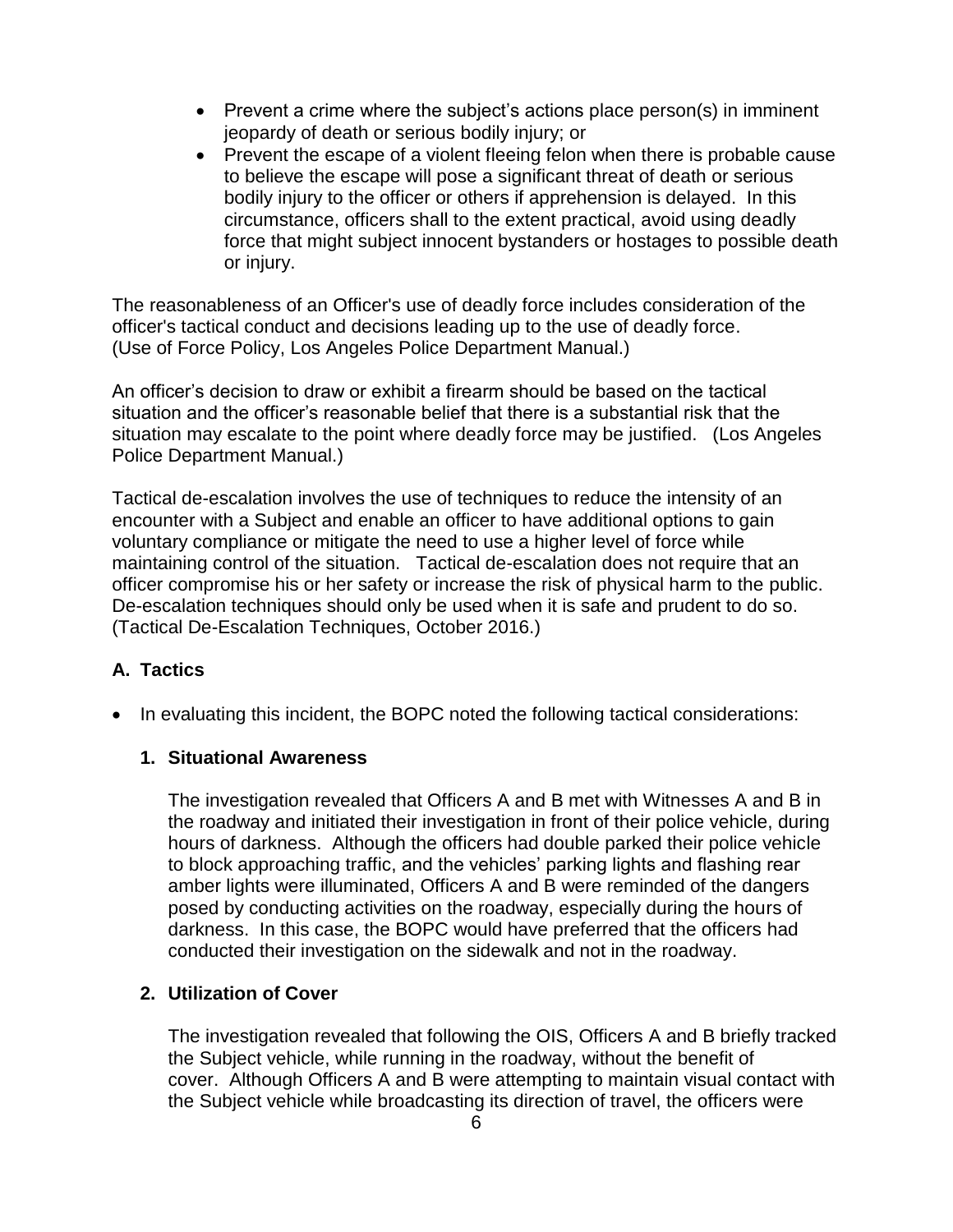- Prevent a crime where the subject's actions place person(s) in imminent jeopardy of death or serious bodily injury; or
- Prevent the escape of a violent fleeing felon when there is probable cause to believe the escape will pose a significant threat of death or serious bodily injury to the officer or others if apprehension is delayed. In this circumstance, officers shall to the extent practical, avoid using deadly force that might subject innocent bystanders or hostages to possible death or injury.

The reasonableness of an Officer's use of deadly force includes consideration of the officer's tactical conduct and decisions leading up to the use of deadly force. (Use of Force Policy, Los Angeles Police Department Manual.)

An officer's decision to draw or exhibit a firearm should be based on the tactical situation and the officer's reasonable belief that there is a substantial risk that the situation may escalate to the point where deadly force may be justified. (Los Angeles Police Department Manual.)

Tactical de-escalation involves the use of techniques to reduce the intensity of an encounter with a Subject and enable an officer to have additional options to gain voluntary compliance or mitigate the need to use a higher level of force while maintaining control of the situation. Tactical de-escalation does not require that an officer compromise his or her safety or increase the risk of physical harm to the public. De-escalation techniques should only be used when it is safe and prudent to do so. (Tactical De-Escalation Techniques, October 2016.)

# **A. Tactics**

• In evaluating this incident, the BOPC noted the following tactical considerations:

### **1. Situational Awareness**

The investigation revealed that Officers A and B met with Witnesses A and B in the roadway and initiated their investigation in front of their police vehicle, during hours of darkness. Although the officers had double parked their police vehicle to block approaching traffic, and the vehicles' parking lights and flashing rear amber lights were illuminated, Officers A and B were reminded of the dangers posed by conducting activities on the roadway, especially during the hours of darkness. In this case, the BOPC would have preferred that the officers had conducted their investigation on the sidewalk and not in the roadway.

# **2. Utilization of Cover**

The investigation revealed that following the OIS, Officers A and B briefly tracked the Subject vehicle, while running in the roadway, without the benefit of cover. Although Officers A and B were attempting to maintain visual contact with the Subject vehicle while broadcasting its direction of travel, the officers were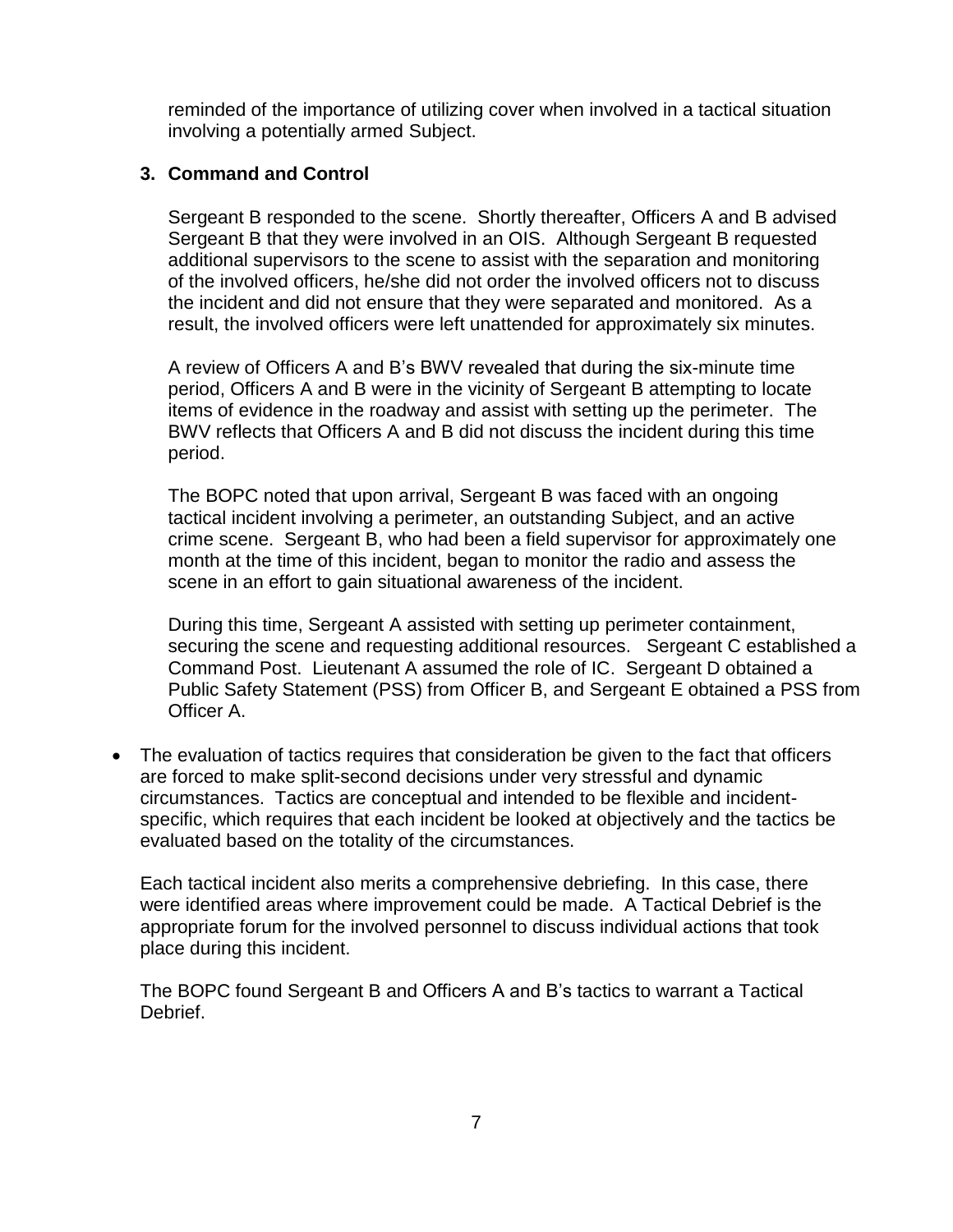reminded of the importance of utilizing cover when involved in a tactical situation involving a potentially armed Subject.

### **3. Command and Control**

Sergeant B responded to the scene. Shortly thereafter, Officers A and B advised Sergeant B that they were involved in an OIS. Although Sergeant B requested additional supervisors to the scene to assist with the separation and monitoring of the involved officers, he/she did not order the involved officers not to discuss the incident and did not ensure that they were separated and monitored. As a result, the involved officers were left unattended for approximately six minutes.

A review of Officers A and B's BWV revealed that during the six-minute time period, Officers A and B were in the vicinity of Sergeant B attempting to locate items of evidence in the roadway and assist with setting up the perimeter. The BWV reflects that Officers A and B did not discuss the incident during this time period.

The BOPC noted that upon arrival, Sergeant B was faced with an ongoing tactical incident involving a perimeter, an outstanding Subject, and an active crime scene. Sergeant B, who had been a field supervisor for approximately one month at the time of this incident, began to monitor the radio and assess the scene in an effort to gain situational awareness of the incident.

During this time, Sergeant A assisted with setting up perimeter containment, securing the scene and requesting additional resources. Sergeant C established a Command Post. Lieutenant A assumed the role of IC. Sergeant D obtained a Public Safety Statement (PSS) from Officer B, and Sergeant E obtained a PSS from Officer A.

• The evaluation of tactics requires that consideration be given to the fact that officers are forced to make split-second decisions under very stressful and dynamic circumstances. Tactics are conceptual and intended to be flexible and incidentspecific, which requires that each incident be looked at objectively and the tactics be evaluated based on the totality of the circumstances.

Each tactical incident also merits a comprehensive debriefing. In this case, there were identified areas where improvement could be made. A Tactical Debrief is the appropriate forum for the involved personnel to discuss individual actions that took place during this incident.

The BOPC found Sergeant B and Officers A and B's tactics to warrant a Tactical Debrief.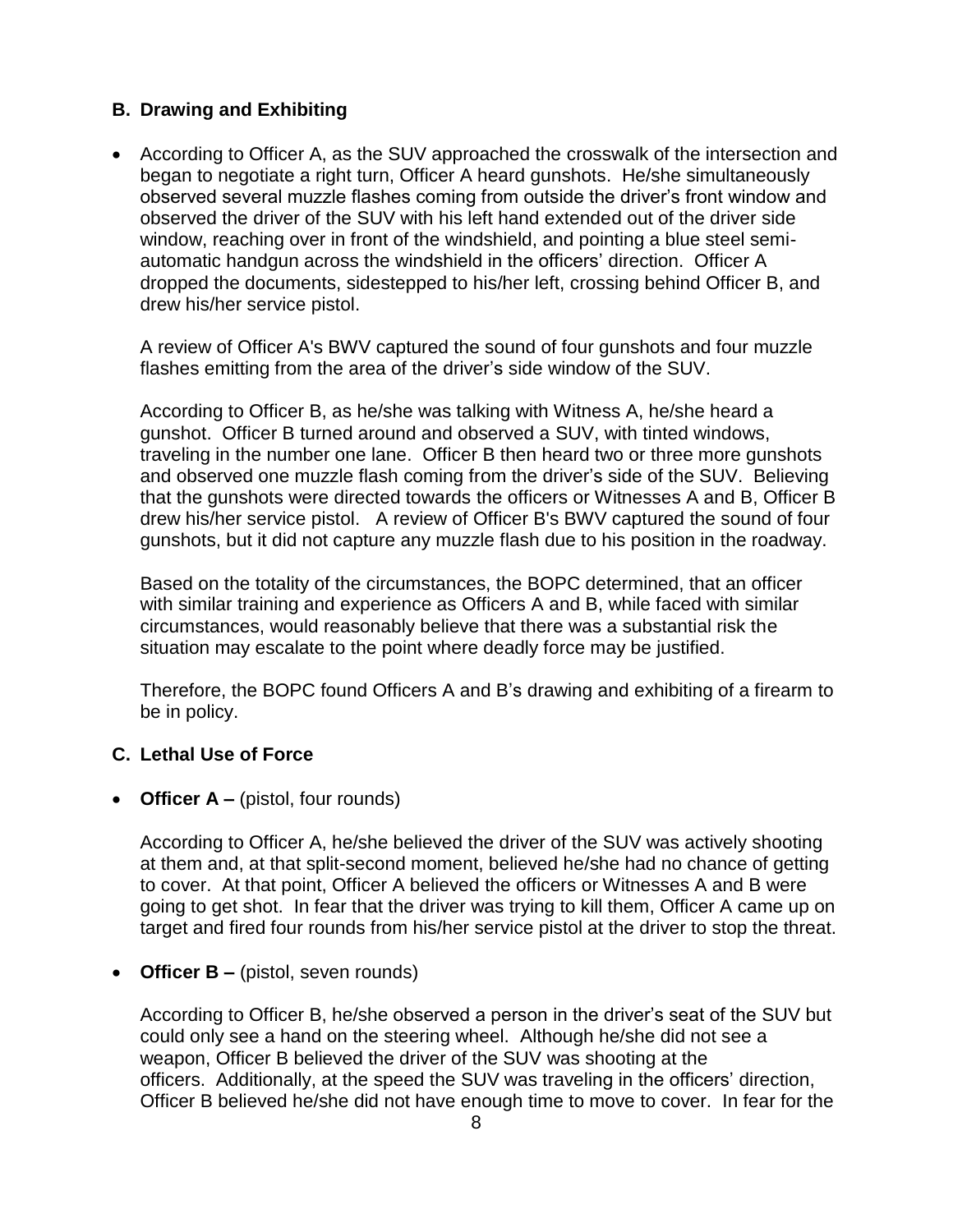## **B. Drawing and Exhibiting**

• According to Officer A, as the SUV approached the crosswalk of the intersection and began to negotiate a right turn, Officer A heard gunshots. He/she simultaneously observed several muzzle flashes coming from outside the driver's front window and observed the driver of the SUV with his left hand extended out of the driver side window, reaching over in front of the windshield, and pointing a blue steel semiautomatic handgun across the windshield in the officers' direction. Officer A dropped the documents, sidestepped to his/her left, crossing behind Officer B, and drew his/her service pistol.

A review of Officer A's BWV captured the sound of four gunshots and four muzzle flashes emitting from the area of the driver's side window of the SUV.

According to Officer B, as he/she was talking with Witness A, he/she heard a gunshot. Officer B turned around and observed a SUV, with tinted windows, traveling in the number one lane. Officer B then heard two or three more gunshots and observed one muzzle flash coming from the driver's side of the SUV. Believing that the gunshots were directed towards the officers or Witnesses A and B, Officer B drew his/her service pistol. A review of Officer B's BWV captured the sound of four gunshots, but it did not capture any muzzle flash due to his position in the roadway.

Based on the totality of the circumstances, the BOPC determined, that an officer with similar training and experience as Officers A and B, while faced with similar circumstances, would reasonably believe that there was a substantial risk the situation may escalate to the point where deadly force may be justified.

Therefore, the BOPC found Officers A and B's drawing and exhibiting of a firearm to be in policy.

### **C. Lethal Use of Force**

• **Officer A –** (pistol, four rounds)

According to Officer A, he/she believed the driver of the SUV was actively shooting at them and, at that split-second moment, believed he/she had no chance of getting to cover. At that point, Officer A believed the officers or Witnesses A and B were going to get shot. In fear that the driver was trying to kill them, Officer A came up on target and fired four rounds from his/her service pistol at the driver to stop the threat.

• **Officer B** – (pistol, seven rounds)

According to Officer B, he/she observed a person in the driver's seat of the SUV but could only see a hand on the steering wheel. Although he/she did not see a weapon, Officer B believed the driver of the SUV was shooting at the officers. Additionally, at the speed the SUV was traveling in the officers' direction, Officer B believed he/she did not have enough time to move to cover. In fear for the